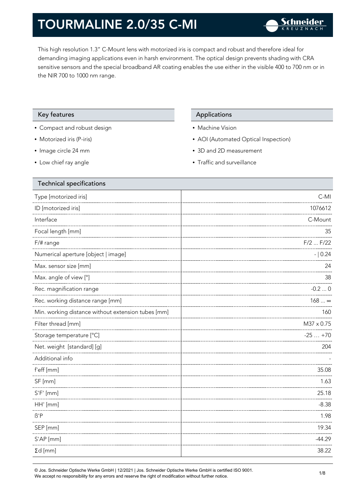This high resolution 1.3" C-Mount lens with motorized iris is compact and robust and therefore ideal for demanding imaging applications even in harsh environment. The optical design prevents shading with CRA sensitive sensors and the special broadband AR coating enables the use either in the visible 400 to 700 nm or in the NIR 700 to 1000 nm range.

#### Key features **Applications** Applications

- Compact and robust design
- Motorized iris (P-iris)
- Image circle 24 mm
- Low chief ray angle

- Machine Vision
- AOI (Automated Optical Inspection)
- 3D and 2D measurement
- Traffic and surveillance

| Technical specifications                           |              |
|----------------------------------------------------|--------------|
| Type [motorized iris]                              | $C-MI$       |
| ID [motorized iris]                                | 1076612      |
| Interface                                          | C-Mount      |
| Focal length [mm]                                  | 35           |
| F/# range                                          | $F/2$ $F/22$ |
| Numerical aperture [object   image]                | $- 0.24$     |
| Max. sensor size [mm]                              | 24           |
| Max. angle of view [°]                             | 38           |
| Rec. magnification range                           | $-0.20$      |
| Rec. working distance range [mm]                   | $168 \infty$ |
| Min. working distance without extension tubes [mm] | 160          |
| Filter thread [mm]                                 | M37 x 0.75   |
| Storage temperature [°C]                           | $-25+70$     |
| Net. weight [standard] [g]                         | 204          |
| Additional info                                    |              |
| f'eff [mm]                                         | 35.08        |
| SF [mm]                                            | 1.63         |
| $S'F'$ [mm]                                        | 25.18        |
| HH' [mm]                                           | $-8.38$      |
| $\beta'$ P                                         | 1.98         |
| SEP [mm]                                           | 19.34        |
| S'AP [mm]                                          | $-44.29$     |
| $\Sigma d$ [mm]                                    | 38.22        |
|                                                    |              |

© Jos. Schneider Optische Werke GmbH | 12/2021 | Jos. Schneider Optische Werke GmbH is certified ISO 9001. We accept no responsibility for any errors and reserve the right of modification without further notice.<br>We accept no responsibility for any errors and reserve the right of modification without further notice.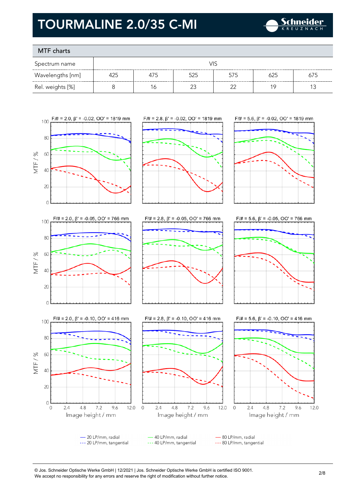

### MTF charts

| Spectrum name    | VIS |     |     |     |     |     |  |
|------------------|-----|-----|-----|-----|-----|-----|--|
| Wavelengths [nm] | 425 | 475 | 525 | 575 | 625 | 675 |  |
| Rel. weights [%] |     | 6   |     |     | 1 C |     |  |



 $F/\# = 2.0$ ,  $\beta' = -0.10$ ,  $OO' = 416$  mm

100

**80** 

60

 $40$ 

20

 $\circ$ 

 $\overline{0}$ 

 $2.4$ 

 $4.8$ 

 $7.2$ 

Image height / mm

9.6

12.0  $\mathbf 0$ 

MTF/%











- 20 LP/mm, radial 40 LP/mm, radial - 80 LP/mm, radial --- 20 LP/mm, tangential --- 40 LP/mm, tangential --- 80 LP/mm, tangential

 $4.8$ 

 $2.4$ 

<sup>©</sup> Jos. Schneider Optische Werke GmbH | 12/2021 | Jos. Schneider Optische Werke GmbH is certified ISO 9001. We accept no responsibility for any errors and reserve the right of modification without further notice.<br>We accept no responsibility for any errors and reserve the right of modification without further notice.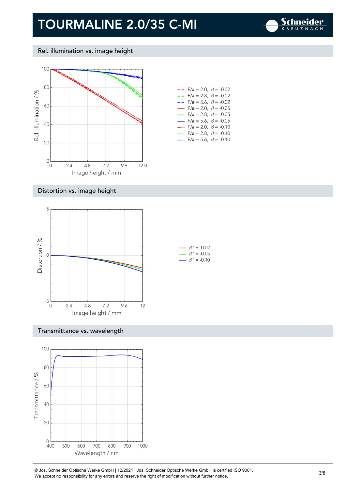

Rel. illumination vs. image height



| $- -$ F/# = 2.0, $\beta$ = -0.02         |  |
|------------------------------------------|--|
| $- -$ F/# = 2.8, $\beta$ = -0.02         |  |
| $- -$ F/# = 5.6, $\beta$ = -0.02         |  |
| $\rightarrow$ F/# = 2.0, $\beta$ = -0.05 |  |
| $\rightarrow$ F/# = 2.8, $\beta$ = -0.05 |  |
| $\rightarrow$ F/# = 5.6, $\beta$ = -0.05 |  |
| F/# = 2.0, $\beta$ = -0.10               |  |
| $F/\ddot{=} = 2.8$ , $\beta = -0.10$     |  |
| F/# = 5.6, $\beta$ = -0.10               |  |

#### Distortion vs. image height



#### Transmittance vs. wavelength



© Jos. Schneider Optische Werke GmbH | 12/2021 | Jos. Schneider Optische Werke GmbH is certified ISO 9001. We Jos. Scrinelaer Opuscrie werke GribH | 12/2021 | Jos. Scrinelaer Opuscrie werke GribH is certified ISO 9001.<br>We accept no responsibility for any errors and reserve the right of modification without further notice.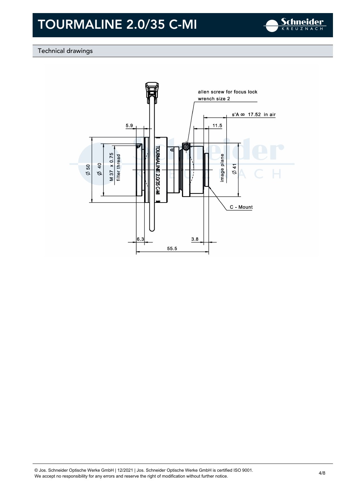

#### Technical drawings

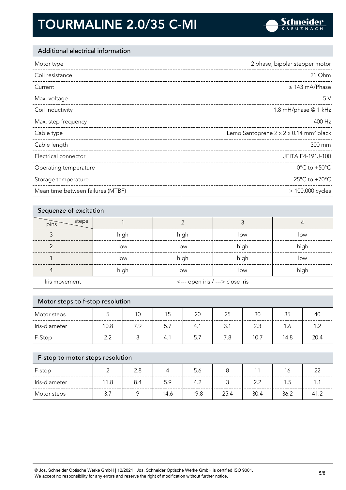

#### Additional electrical information

| Motor type            | 2 phase, bipolar stepper motor                     |
|-----------------------|----------------------------------------------------|
| Coil resistance       | 21 Ohm                                             |
| Current               | $\leq$ 143 mA/Phase                                |
| Max. voltage          | 5V                                                 |
| Coil inductivity      | 1.8 mH/phase @ 1 kHz                               |
| Max. step frequency   | 400 Hz                                             |
| Cable type            | Lemo Santoprene 2 x 2 x 0.14 mm <sup>2</sup> black |
| Cable length          | 300 mm                                             |
| Electrical connector  | JEITA E4-191J-100                                  |
| Operating temperature | $0^{\circ}$ C to +50 $^{\circ}$ C                  |
|                       |                                                    |
| Storage temperature   | -25 $^{\circ}$ C to +70 $^{\circ}$ C               |

| Sequenze of excitation |      |                                  |      |      |  |
|------------------------|------|----------------------------------|------|------|--|
| steps<br>pins          |      |                                  |      |      |  |
|                        | high | high                             | low  | low  |  |
| ╭                      | low  | low                              | high | high |  |
|                        | low  | high                             | high | low  |  |
|                        | high | low                              | low  | high |  |
| Iris movement          |      | <--- open iris / ---> close iris |      |      |  |

| Motor steps to f-stop resolution |      |     |     |     |     |      |      |      |
|----------------------------------|------|-----|-----|-----|-----|------|------|------|
| Motor steps                      |      | 10  | 15  | 20  | 25  | 30   | 35   | 40   |
| Iris-diameter                    | 10.8 | 7.9 | 5.7 | 4.1 | 3.1 | 2.3  | 1.6  | 1.2  |
| F-Stop                           | 2.2  |     | 4.1 | 5.7 | 7.8 | 10.7 | 14.8 | 20.4 |
|                                  |      |     |     |     |     |      |      |      |

| F-stop to motor steps resolution |      |     |      |      |      |      |      |      |
|----------------------------------|------|-----|------|------|------|------|------|------|
| F-stop                           |      | 2.8 |      | 5.6  |      | 11   | 16   | つつ   |
| Iris-diameter                    | 11.8 | 8.4 | 5.9  | 4.2  |      | 2.2  | 1.5  |      |
| Motor steps                      | 3.   |     | 14.6 | 19.8 | 25.4 | 30.4 | 36.2 | 41.2 |

© Jos. Schneider Optische Werke GmbH | 12/2021 | Jos. Schneider Optische Werke GmbH is certified ISO 9001. We accept no responsibility for any errors and reserve the right of modification without further notice. 5/8<br>We accept no responsibility for any errors and reserve the right of modification without further notice.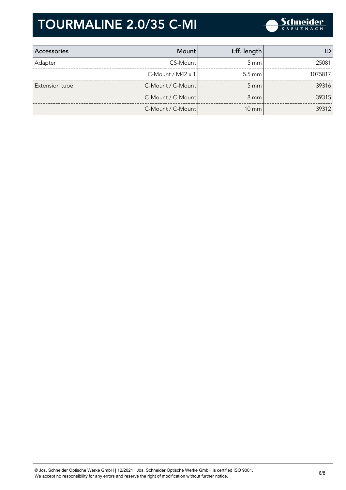

| Accessories    | Mount                | Eff. length        |         |
|----------------|----------------------|--------------------|---------|
| Adapter        | CS-Mount             | $5 \text{ mm}$     | 25081   |
|                | $C-M$ ount / M42 x 1 | $5.5 \text{ mm}$   | 1075817 |
| Extension tube | C-Mount / C-Mount    | $5 \, \mathrm{mm}$ | 39316   |
|                | C-Mount / C-Mount    | $8 \text{ mm}$     | 39315   |
|                | C-Mount / C-Mount    | $10 \text{ mm}$    | 39312   |